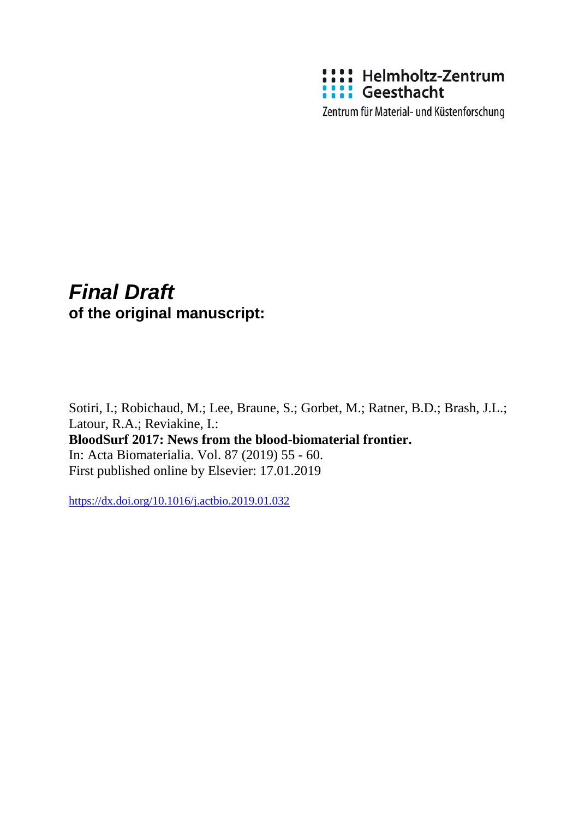

Zentrum für Material- und Küstenforschung

# *Final Draft*  **of the original manuscript:**

Sotiri, I.; Robichaud, M.; Lee, Braune, S.; Gorbet, M.; Ratner, B.D.; Brash, J.L.; Latour, R.A.; Reviakine, I.: **BloodSurf 2017: News from the blood-biomaterial frontier.**  In: Acta Biomaterialia. Vol. 87 (2019) 55 - 60. First published online by Elsevier: 17.01.2019

<https://dx.doi.org/10.1016/j.actbio.2019.01.032>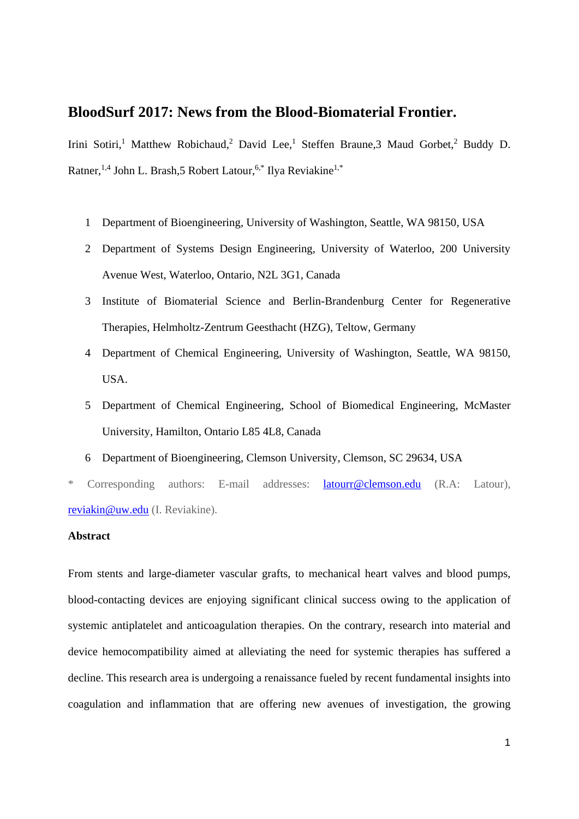# **BloodSurf 2017: News from the Blood-Biomaterial Frontier.**

Irini Sotiri,<sup>1</sup> Matthew Robichaud,<sup>2</sup> David Lee,<sup>1</sup> Steffen Braune,3 Maud Gorbet,<sup>2</sup> Buddy D. Ratner,<sup>1,4</sup> John L. Brash,5 Robert Latour,<sup>6,\*</sup> Ilya Reviakine<sup>1,\*</sup>

- 1 Department of Bioengineering, University of Washington, Seattle, WA 98150, USA
- 2 Department of Systems Design Engineering, University of Waterloo, 200 University Avenue West, Waterloo, Ontario, N2L 3G1, Canada
- 3 Institute of Biomaterial Science and Berlin-Brandenburg Center for Regenerative Therapies, Helmholtz-Zentrum Geesthacht (HZG), Teltow, Germany
- 4 Department of Chemical Engineering, University of Washington, Seattle, WA 98150, USA.
- 5 Department of Chemical Engineering, School of Biomedical Engineering, McMaster University, Hamilton, Ontario L85 4L8, Canada
- 6 Department of Bioengineering, Clemson University, Clemson, SC 29634, USA

\* Corresponding authors: E-mail addresses: latourr@clemson.edu (R.A: Latour), reviakin@uw.edu (I. Reviakine).

### **Abstract**

From stents and large-diameter vascular grafts, to mechanical heart valves and blood pumps, blood-contacting devices are enjoying significant clinical success owing to the application of systemic antiplatelet and anticoagulation therapies. On the contrary, research into material and device hemocompatibility aimed at alleviating the need for systemic therapies has suffered a decline. This research area is undergoing a renaissance fueled by recent fundamental insights into coagulation and inflammation that are offering new avenues of investigation, the growing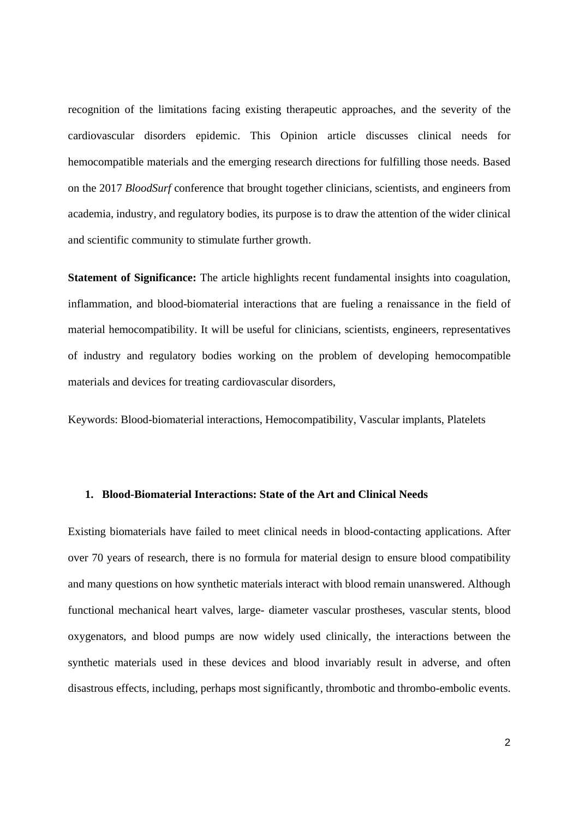recognition of the limitations facing existing therapeutic approaches, and the severity of the cardiovascular disorders epidemic. This Opinion article discusses clinical needs for hemocompatible materials and the emerging research directions for fulfilling those needs. Based on the 2017 *BloodSurf* conference that brought together clinicians, scientists, and engineers from academia, industry, and regulatory bodies, its purpose is to draw the attention of the wider clinical and scientific community to stimulate further growth.

**Statement of Significance:** The article highlights recent fundamental insights into coagulation, inflammation, and blood-biomaterial interactions that are fueling a renaissance in the field of material hemocompatibility. It will be useful for clinicians, scientists, engineers, representatives of industry and regulatory bodies working on the problem of developing hemocompatible materials and devices for treating cardiovascular disorders,

Keywords: Blood-biomaterial interactions, Hemocompatibility, Vascular implants, Platelets

#### **1. Blood-Biomaterial Interactions: State of the Art and Clinical Needs**

Existing biomaterials have failed to meet clinical needs in blood-contacting applications. After over 70 years of research, there is no formula for material design to ensure blood compatibility and many questions on how synthetic materials interact with blood remain unanswered. Although functional mechanical heart valves, large- diameter vascular prostheses, vascular stents, blood oxygenators, and blood pumps are now widely used clinically, the interactions between the synthetic materials used in these devices and blood invariably result in adverse, and often disastrous effects, including, perhaps most significantly, thrombotic and thrombo-embolic events.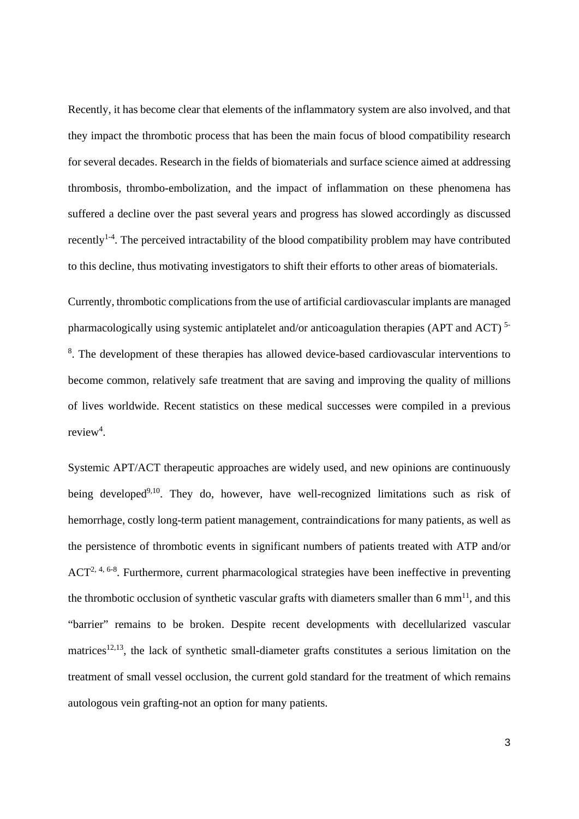Recently, it has become clear that elements of the inflammatory system are also involved, and that they impact the thrombotic process that has been the main focus of blood compatibility research for several decades. Research in the fields of biomaterials and surface science aimed at addressing thrombosis, thrombo-embolization, and the impact of inflammation on these phenomena has suffered a decline over the past several years and progress has slowed accordingly as discussed recently1-4. The perceived intractability of the blood compatibility problem may have contributed to this decline, thus motivating investigators to shift their efforts to other areas of biomaterials.

Currently, thrombotic complications from the use of artificial cardiovascular implants are managed pharmacologically using systemic antiplatelet and/or anticoagulation therapies (APT and ACT) 5- <sup>8</sup>. The development of these therapies has allowed device-based cardiovascular interventions to become common, relatively safe treatment that are saving and improving the quality of millions of lives worldwide. Recent statistics on these medical successes were compiled in a previous review<sup>4</sup>.

Systemic APT/ACT therapeutic approaches are widely used, and new opinions are continuously being developed<sup>9,10</sup>. They do, however, have well-recognized limitations such as risk of hemorrhage, costly long-term patient management, contraindications for many patients, as well as the persistence of thrombotic events in significant numbers of patients treated with ATP and/or ACT<sup>2, 4, 6-8</sup>. Furthermore, current pharmacological strategies have been ineffective in preventing the thrombotic occlusion of synthetic vascular grafts with diameters smaller than  $6 \text{ mm}^{11}$ , and this "barrier" remains to be broken. Despite recent developments with decellularized vascular matrices<sup>12,13</sup>, the lack of synthetic small-diameter grafts constitutes a serious limitation on the treatment of small vessel occlusion, the current gold standard for the treatment of which remains autologous vein grafting-not an option for many patients.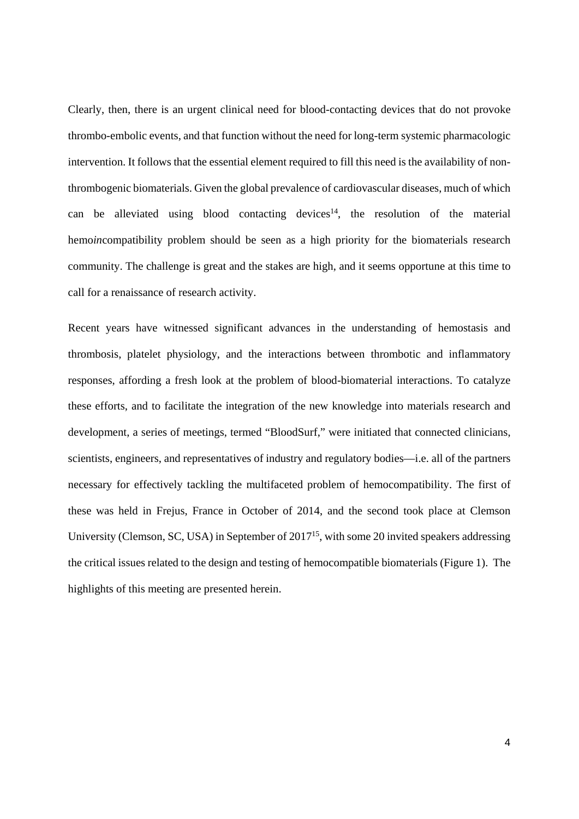Clearly, then, there is an urgent clinical need for blood-contacting devices that do not provoke thrombo-embolic events, and that function without the need for long-term systemic pharmacologic intervention. It follows that the essential element required to fill this need is the availability of nonthrombogenic biomaterials. Given the global prevalence of cardiovascular diseases, much of which can be alleviated using blood contacting devices<sup>14</sup>, the resolution of the material hemo*in*compatibility problem should be seen as a high priority for the biomaterials research community. The challenge is great and the stakes are high, and it seems opportune at this time to call for a renaissance of research activity.

Recent years have witnessed significant advances in the understanding of hemostasis and thrombosis, platelet physiology, and the interactions between thrombotic and inflammatory responses, affording a fresh look at the problem of blood-biomaterial interactions. To catalyze these efforts, and to facilitate the integration of the new knowledge into materials research and development, a series of meetings, termed "BloodSurf," were initiated that connected clinicians, scientists, engineers, and representatives of industry and regulatory bodies—i.e. all of the partners necessary for effectively tackling the multifaceted problem of hemocompatibility. The first of these was held in Frejus, France in October of 2014, and the second took place at Clemson University (Clemson, SC, USA) in September of 2017<sup>15</sup>, with some 20 invited speakers addressing the critical issues related to the design and testing of hemocompatible biomaterials (Figure 1). The highlights of this meeting are presented herein.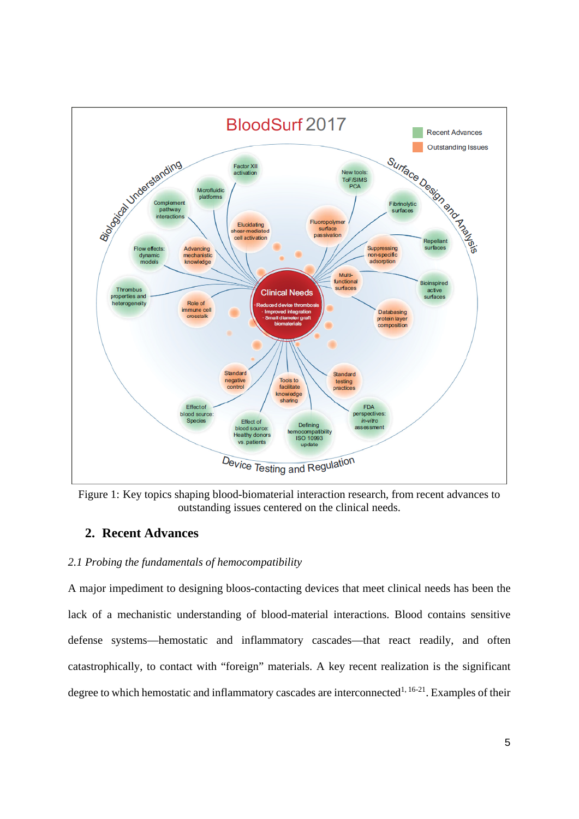

Figure 1: Key topics shaping blood-biomaterial interaction research, from recent advances to outstanding issues centered on the clinical needs.

## **2. Recent Advances**

## *2.1 Probing the fundamentals of hemocompatibility*

A major impediment to designing bloos-contacting devices that meet clinical needs has been the lack of a mechanistic understanding of blood-material interactions. Blood contains sensitive defense systems—hemostatic and inflammatory cascades—that react readily, and often catastrophically, to contact with "foreign" materials. A key recent realization is the significant degree to which hemostatic and inflammatory cascades are interconnected<sup>1, 16-21</sup>. Examples of their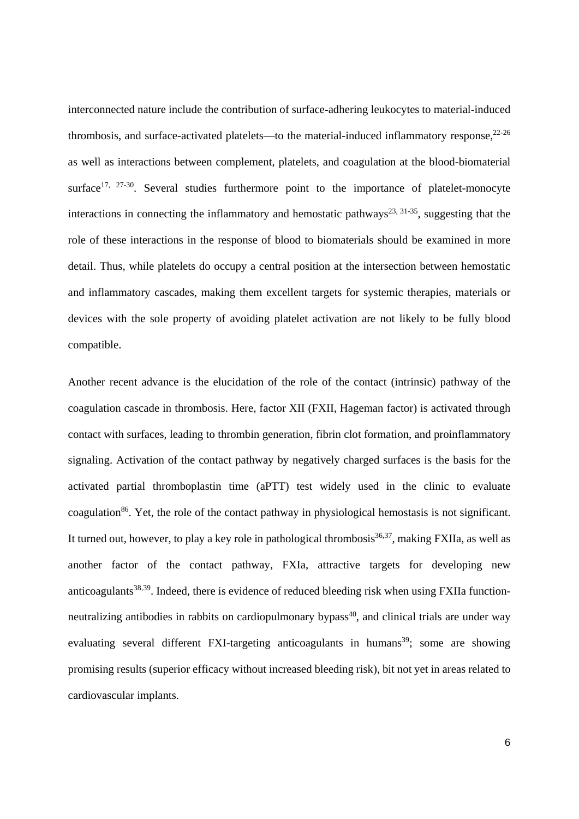interconnected nature include the contribution of surface-adhering leukocytes to material-induced thrombosis, and surface-activated platelets—to the material-induced inflammatory response.<sup>22-26</sup> as well as interactions between complement, platelets, and coagulation at the blood-biomaterial surface<sup>17, 27-30</sup>. Several studies furthermore point to the importance of platelet-monocyte interactions in connecting the inflammatory and hemostatic pathways<sup>23, 31-35</sup>, suggesting that the role of these interactions in the response of blood to biomaterials should be examined in more detail. Thus, while platelets do occupy a central position at the intersection between hemostatic and inflammatory cascades, making them excellent targets for systemic therapies, materials or devices with the sole property of avoiding platelet activation are not likely to be fully blood compatible.

Another recent advance is the elucidation of the role of the contact (intrinsic) pathway of the coagulation cascade in thrombosis. Here, factor XII (FXII, Hageman factor) is activated through contact with surfaces, leading to thrombin generation, fibrin clot formation, and proinflammatory signaling. Activation of the contact pathway by negatively charged surfaces is the basis for the activated partial thromboplastin time (aPTT) test widely used in the clinic to evaluate coagulation<sup>86</sup>. Yet, the role of the contact pathway in physiological hemostasis is not significant. It turned out, however, to play a key role in pathological thrombosis  $36,37$ , making FXIIa, as well as another factor of the contact pathway, FXIa, attractive targets for developing new anticoagulants<sup>38,39</sup>. Indeed, there is evidence of reduced bleeding risk when using FXIIa functionneutralizing antibodies in rabbits on cardiopulmonary bypass<sup>40</sup>, and clinical trials are under way evaluating several different FXI-targeting anticoagulants in humans<sup>39</sup>; some are showing promising results (superior efficacy without increased bleeding risk), bit not yet in areas related to cardiovascular implants.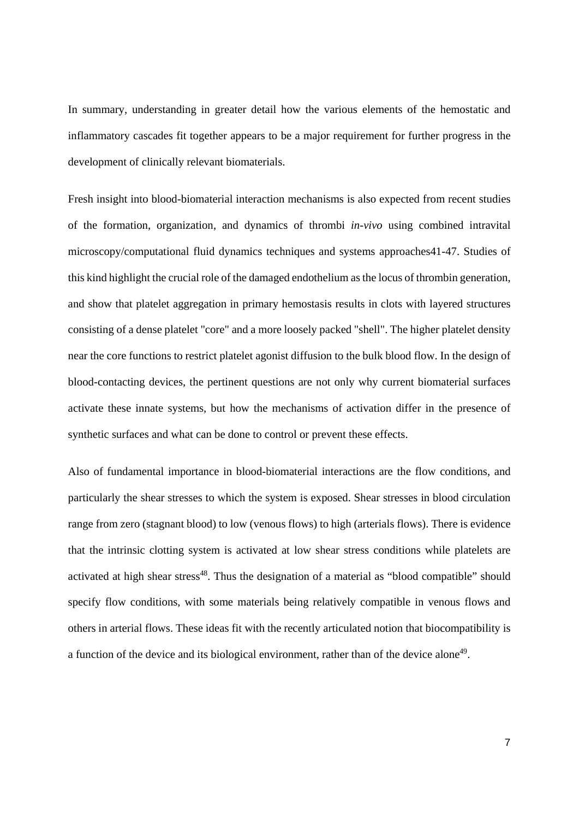In summary, understanding in greater detail how the various elements of the hemostatic and inflammatory cascades fit together appears to be a major requirement for further progress in the development of clinically relevant biomaterials.

Fresh insight into blood-biomaterial interaction mechanisms is also expected from recent studies of the formation, organization, and dynamics of thrombi *in-vivo* using combined intravital microscopy/computational fluid dynamics techniques and systems approaches41-47. Studies of this kind highlight the crucial role of the damaged endothelium as the locus of thrombin generation, and show that platelet aggregation in primary hemostasis results in clots with layered structures consisting of a dense platelet "core" and a more loosely packed "shell". The higher platelet density near the core functions to restrict platelet agonist diffusion to the bulk blood flow. In the design of blood-contacting devices, the pertinent questions are not only why current biomaterial surfaces activate these innate systems, but how the mechanisms of activation differ in the presence of synthetic surfaces and what can be done to control or prevent these effects.

Also of fundamental importance in blood-biomaterial interactions are the flow conditions, and particularly the shear stresses to which the system is exposed. Shear stresses in blood circulation range from zero (stagnant blood) to low (venous flows) to high (arterials flows). There is evidence that the intrinsic clotting system is activated at low shear stress conditions while platelets are activated at high shear stress<sup>48</sup>. Thus the designation of a material as "blood compatible" should specify flow conditions, with some materials being relatively compatible in venous flows and others in arterial flows. These ideas fit with the recently articulated notion that biocompatibility is a function of the device and its biological environment, rather than of the device alone<sup>49</sup>.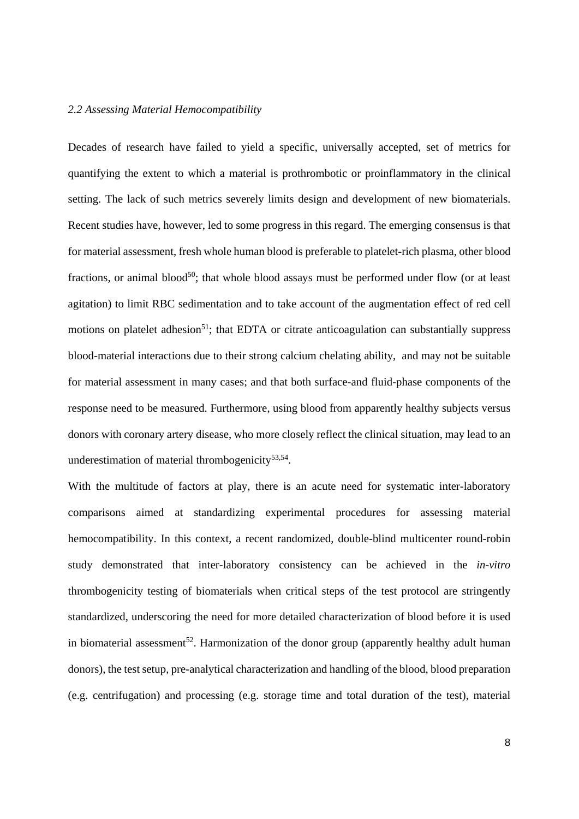#### *2.2 Assessing Material Hemocompatibility*

Decades of research have failed to yield a specific, universally accepted, set of metrics for quantifying the extent to which a material is prothrombotic or proinflammatory in the clinical setting. The lack of such metrics severely limits design and development of new biomaterials. Recent studies have, however, led to some progress in this regard. The emerging consensus is that for material assessment, fresh whole human blood is preferable to platelet-rich plasma, other blood fractions, or animal blood<sup>50</sup>; that whole blood assays must be performed under flow (or at least agitation) to limit RBC sedimentation and to take account of the augmentation effect of red cell motions on platelet adhesion<sup>51</sup>; that EDTA or citrate anticoagulation can substantially suppress blood-material interactions due to their strong calcium chelating ability, and may not be suitable for material assessment in many cases; and that both surface-and fluid-phase components of the response need to be measured. Furthermore, using blood from apparently healthy subjects versus donors with coronary artery disease, who more closely reflect the clinical situation, may lead to an underestimation of material thrombogenicity $53,54$ .

With the multitude of factors at play, there is an acute need for systematic inter-laboratory comparisons aimed at standardizing experimental procedures for assessing material hemocompatibility. In this context, a recent randomized, double-blind multicenter round-robin study demonstrated that inter-laboratory consistency can be achieved in the *in-vitro* thrombogenicity testing of biomaterials when critical steps of the test protocol are stringently standardized, underscoring the need for more detailed characterization of blood before it is used in biomaterial assessment<sup>52</sup>. Harmonization of the donor group (apparently healthy adult human donors), the test setup, pre-analytical characterization and handling of the blood, blood preparation (e.g. centrifugation) and processing (e.g. storage time and total duration of the test), material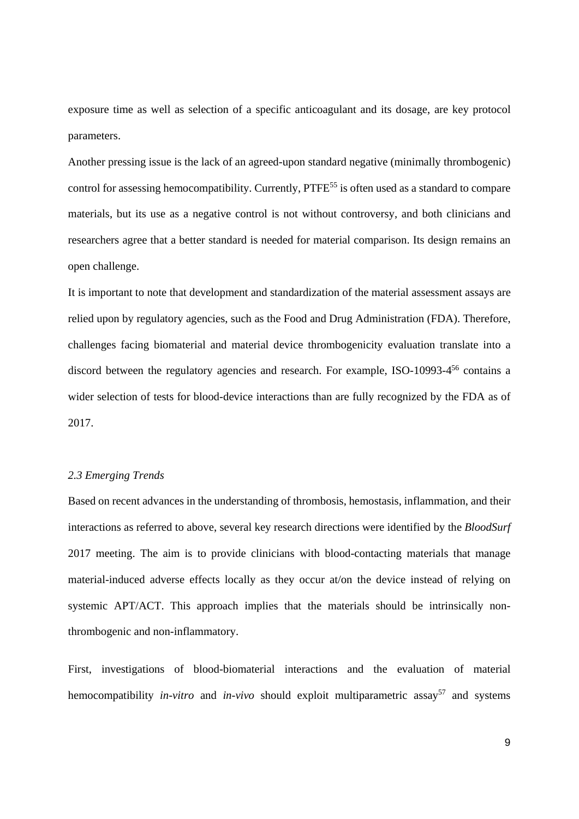exposure time as well as selection of a specific anticoagulant and its dosage, are key protocol parameters.

Another pressing issue is the lack of an agreed-upon standard negative (minimally thrombogenic) control for assessing hemocompatibility. Currently, PTFE<sup>55</sup> is often used as a standard to compare materials, but its use as a negative control is not without controversy, and both clinicians and researchers agree that a better standard is needed for material comparison. Its design remains an open challenge.

It is important to note that development and standardization of the material assessment assays are relied upon by regulatory agencies, such as the Food and Drug Administration (FDA). Therefore, challenges facing biomaterial and material device thrombogenicity evaluation translate into a discord between the regulatory agencies and research. For example, ISO-10993-4<sup>56</sup> contains a wider selection of tests for blood-device interactions than are fully recognized by the FDA as of 2017.

#### *2.3 Emerging Trends*

Based on recent advances in the understanding of thrombosis, hemostasis, inflammation, and their interactions as referred to above, several key research directions were identified by the *BloodSurf*  2017 meeting. The aim is to provide clinicians with blood-contacting materials that manage material-induced adverse effects locally as they occur at/on the device instead of relying on systemic APT/ACT. This approach implies that the materials should be intrinsically nonthrombogenic and non-inflammatory.

First, investigations of blood-biomaterial interactions and the evaluation of material hemocompatibility *in-vitro* and *in-vivo* should exploit multiparametric assay<sup>57</sup> and systems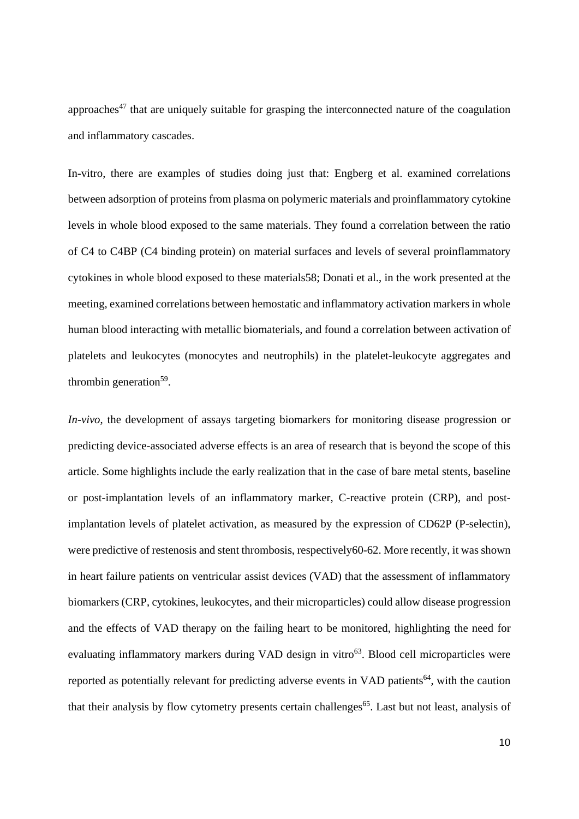approaches<sup>47</sup> that are uniquely suitable for grasping the interconnected nature of the coagulation and inflammatory cascades.

In-vitro, there are examples of studies doing just that: Engberg et al. examined correlations between adsorption of proteins from plasma on polymeric materials and proinflammatory cytokine levels in whole blood exposed to the same materials. They found a correlation between the ratio of C4 to C4BP (C4 binding protein) on material surfaces and levels of several proinflammatory cytokines in whole blood exposed to these materials58; Donati et al., in the work presented at the meeting, examined correlations between hemostatic and inflammatory activation markers in whole human blood interacting with metallic biomaterials, and found a correlation between activation of platelets and leukocytes (monocytes and neutrophils) in the platelet-leukocyte aggregates and thrombin generation $59$ .

*In-vivo*, the development of assays targeting biomarkers for monitoring disease progression or predicting device-associated adverse effects is an area of research that is beyond the scope of this article. Some highlights include the early realization that in the case of bare metal stents, baseline or post-implantation levels of an inflammatory marker, C-reactive protein (CRP), and postimplantation levels of platelet activation, as measured by the expression of CD62P (P-selectin), were predictive of restenosis and stent thrombosis, respectively60-62. More recently, it was shown in heart failure patients on ventricular assist devices (VAD) that the assessment of inflammatory biomarkers (CRP, cytokines, leukocytes, and their microparticles) could allow disease progression and the effects of VAD therapy on the failing heart to be monitored, highlighting the need for evaluating inflammatory markers during VAD design in vitro<sup>63</sup>. Blood cell microparticles were reported as potentially relevant for predicting adverse events in VAD patients<sup>64</sup>, with the caution that their analysis by flow cytometry presents certain challenges<sup>65</sup>. Last but not least, analysis of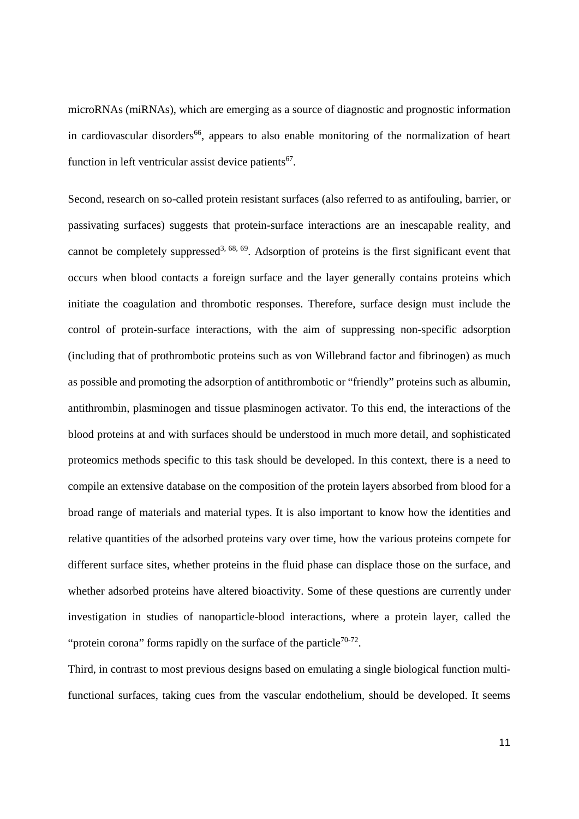microRNAs (miRNAs), which are emerging as a source of diagnostic and prognostic information in cardiovascular disorders<sup>66</sup>, appears to also enable monitoring of the normalization of heart function in left ventricular assist device patients<sup>67</sup>.

Second, research on so-called protein resistant surfaces (also referred to as antifouling, barrier, or passivating surfaces) suggests that protein-surface interactions are an inescapable reality, and cannot be completely suppressed<sup>3, 68, 69</sup>. Adsorption of proteins is the first significant event that occurs when blood contacts a foreign surface and the layer generally contains proteins which initiate the coagulation and thrombotic responses. Therefore, surface design must include the control of protein-surface interactions, with the aim of suppressing non-specific adsorption (including that of prothrombotic proteins such as von Willebrand factor and fibrinogen) as much as possible and promoting the adsorption of antithrombotic or "friendly" proteins such as albumin, antithrombin, plasminogen and tissue plasminogen activator. To this end, the interactions of the blood proteins at and with surfaces should be understood in much more detail, and sophisticated proteomics methods specific to this task should be developed. In this context, there is a need to compile an extensive database on the composition of the protein layers absorbed from blood for a broad range of materials and material types. It is also important to know how the identities and relative quantities of the adsorbed proteins vary over time, how the various proteins compete for different surface sites, whether proteins in the fluid phase can displace those on the surface, and whether adsorbed proteins have altered bioactivity. Some of these questions are currently under investigation in studies of nanoparticle-blood interactions, where a protein layer, called the "protein corona" forms rapidly on the surface of the particle<sup>70-72</sup>.

Third, in contrast to most previous designs based on emulating a single biological function multifunctional surfaces, taking cues from the vascular endothelium, should be developed. It seems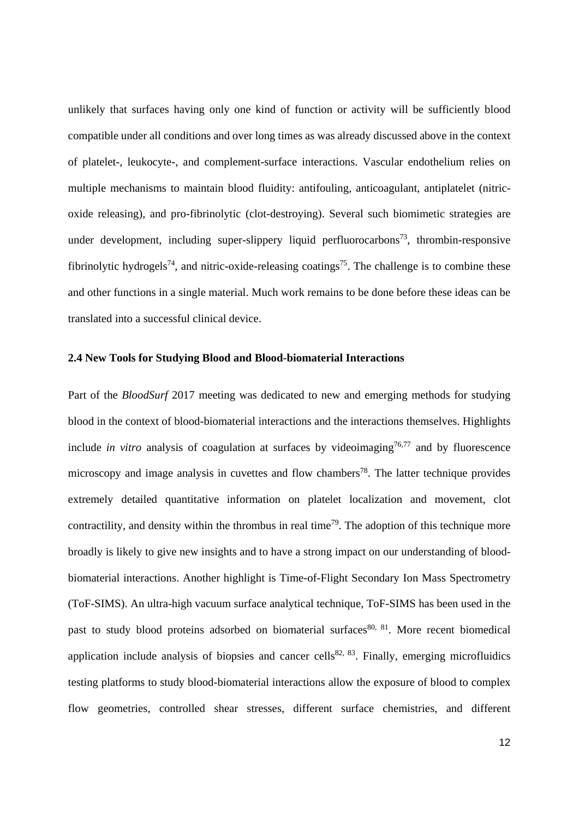unlikely that surfaces having only one kind of function or activity will be sufficiently blood compatible under all conditions and over long times as was already discussed above in the context of platelet-, leukocyte-, and complement-surface interactions. Vascular endothelium relies on multiple mechanisms to maintain blood fluidity: antifouling, anticoagulant, antiplatelet (nitricoxide releasing), and pro-fibrinolytic (clot-destroying). Several such biomimetic strategies are under development, including super-slippery liquid perfluorocarbons<sup>73</sup>, thrombin-responsive fibrinolytic hydrogels<sup>74</sup>, and nitric-oxide-releasing coatings<sup>75</sup>. The challenge is to combine these and other functions in a single material. Much work remains to be done before these ideas can be translated into a successful clinical device.

#### **2.4 New Tools for Studying Blood and Blood-biomaterial Interactions**

Part of the *BloodSurf* 2017 meeting was dedicated to new and emerging methods for studying blood in the context of blood-biomaterial interactions and the interactions themselves. Highlights include *in vitro* analysis of coagulation at surfaces by videoimaging<sup>76,77</sup> and by fluorescence microscopy and image analysis in cuvettes and flow chambers<sup>78</sup>. The latter technique provides extremely detailed quantitative information on platelet localization and movement, clot contractility, and density within the thrombus in real time<sup>79</sup>. The adoption of this technique more broadly is likely to give new insights and to have a strong impact on our understanding of bloodbiomaterial interactions. Another highlight is Time-of-Flight Secondary Ion Mass Spectrometry (ToF-SIMS). An ultra-high vacuum surface analytical technique, ToF-SIMS has been used in the past to study blood proteins adsorbed on biomaterial surfaces<sup>80, 81</sup>. More recent biomedical application include analysis of biopsies and cancer cells<sup>82, 83</sup>. Finally, emerging microfluidics testing platforms to study blood-biomaterial interactions allow the exposure of blood to complex flow geometries, controlled shear stresses, different surface chemistries, and different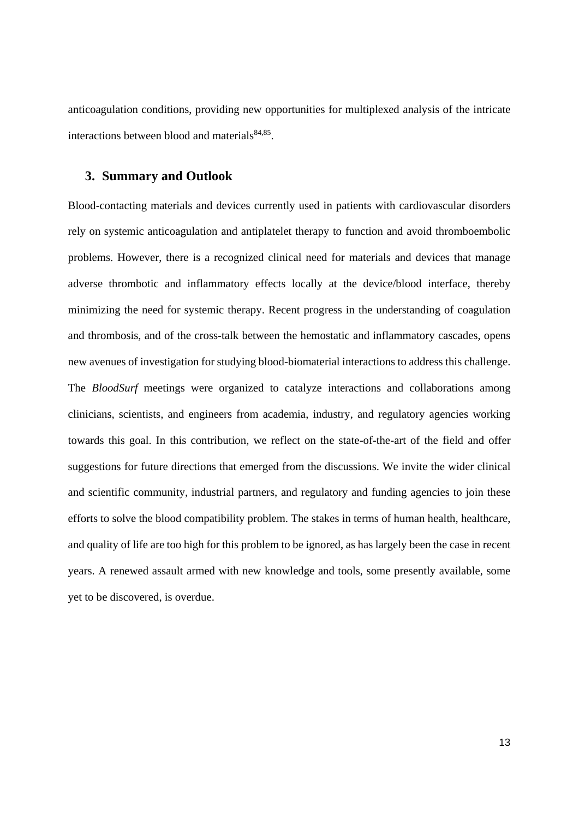anticoagulation conditions, providing new opportunities for multiplexed analysis of the intricate interactions between blood and materials $84,85$ .

## **3. Summary and Outlook**

Blood-contacting materials and devices currently used in patients with cardiovascular disorders rely on systemic anticoagulation and antiplatelet therapy to function and avoid thromboembolic problems. However, there is a recognized clinical need for materials and devices that manage adverse thrombotic and inflammatory effects locally at the device/blood interface, thereby minimizing the need for systemic therapy. Recent progress in the understanding of coagulation and thrombosis, and of the cross-talk between the hemostatic and inflammatory cascades, opens new avenues of investigation for studying blood-biomaterial interactions to address this challenge. The *BloodSurf* meetings were organized to catalyze interactions and collaborations among clinicians, scientists, and engineers from academia, industry, and regulatory agencies working towards this goal. In this contribution, we reflect on the state-of-the-art of the field and offer suggestions for future directions that emerged from the discussions. We invite the wider clinical and scientific community, industrial partners, and regulatory and funding agencies to join these efforts to solve the blood compatibility problem. The stakes in terms of human health, healthcare, and quality of life are too high for this problem to be ignored, as has largely been the case in recent years. A renewed assault armed with new knowledge and tools, some presently available, some yet to be discovered, is overdue.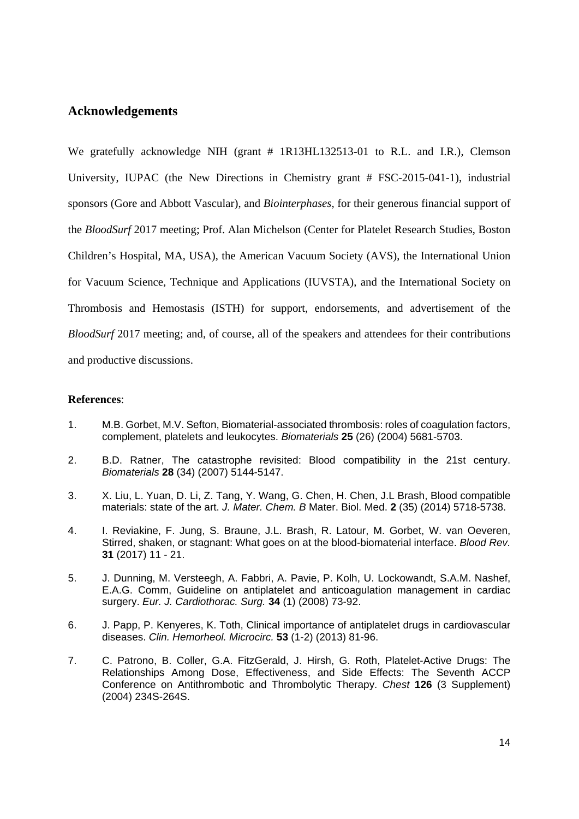## **Acknowledgements**

We gratefully acknowledge NIH (grant # 1R13HL132513-01 to R.L. and I.R.), Clemson University, IUPAC (the New Directions in Chemistry grant # FSC-2015-041-1), industrial sponsors (Gore and Abbott Vascular), and *Biointerphases*, for their generous financial support of the *BloodSurf* 2017 meeting; Prof. Alan Michelson (Center for Platelet Research Studies, Boston Children's Hospital, MA, USA), the American Vacuum Society (AVS), the International Union for Vacuum Science, Technique and Applications (IUVSTA), and the International Society on Thrombosis and Hemostasis (ISTH) for support, endorsements, and advertisement of the *BloodSurf* 2017 meeting; and, of course, all of the speakers and attendees for their contributions and productive discussions.

## **References**:

- 1. M.B. Gorbet, M.V. Sefton, Biomaterial-associated thrombosis: roles of coagulation factors, complement, platelets and leukocytes. *Biomaterials* **25** (26) (2004) 5681-5703.
- 2. B.D. Ratner, The catastrophe revisited: Blood compatibility in the 21st century. *Biomaterials* **28** (34) (2007) 5144-5147.
- 3. X. Liu, L. Yuan, D. Li, Z. Tang, Y. Wang, G. Chen, H. Chen, J.L Brash, Blood compatible materials: state of the art. *J. Mater. Chem. B* Mater. Biol. Med. **2** (35) (2014) 5718-5738.
- 4. I. Reviakine, F. Jung, S. Braune, J.L. Brash, R. Latour, M. Gorbet, W. van Oeveren, Stirred, shaken, or stagnant: What goes on at the blood-biomaterial interface. *Blood Rev.* **31** (2017) 11 - 21.
- 5. J. Dunning, M. Versteegh, A. Fabbri, A. Pavie, P. Kolh, U. Lockowandt, S.A.M. Nashef, E.A.G. Comm, Guideline on antiplatelet and anticoagulation management in cardiac surgery. *Eur. J. Cardiothorac. Surg.* **34** (1) (2008) 73-92.
- 6. J. Papp, P. Kenyeres, K. Toth, Clinical importance of antiplatelet drugs in cardiovascular diseases. *Clin. Hemorheol. Microcirc.* **53** (1-2) (2013) 81-96.
- 7. C. Patrono, B. Coller, G.A. FitzGerald, J. Hirsh, G. Roth, Platelet-Active Drugs: The Relationships Among Dose, Effectiveness, and Side Effects: The Seventh ACCP Conference on Antithrombotic and Thrombolytic Therapy. *Chest* **126** (3 Supplement) (2004) 234S-264S.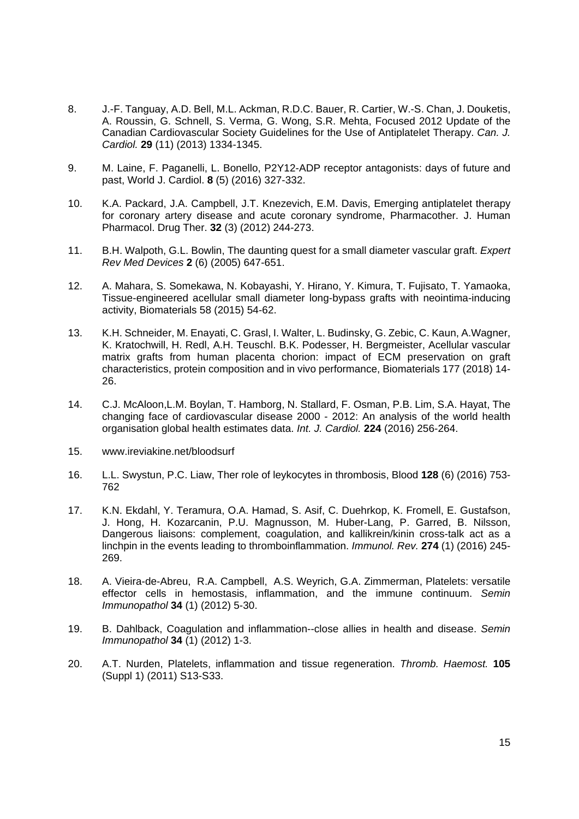- 8. J.-F. Tanguay, A.D. Bell, M.L. Ackman, R.D.C. Bauer, R. Cartier, W.-S. Chan, J. Douketis, A. Roussin, G. Schnell, S. Verma, G. Wong, S.R. Mehta, Focused 2012 Update of the Canadian Cardiovascular Society Guidelines for the Use of Antiplatelet Therapy. *Can. J. Cardiol.* **29** (11) (2013) 1334-1345.
- 9. M. Laine, F. Paganelli, L. Bonello, P2Y12-ADP receptor antagonists: days of future and past, World J. Cardiol. **8** (5) (2016) 327-332.
- 10. K.A. Packard, J.A. Campbell, J.T. Knezevich, E.M. Davis, Emerging antiplatelet therapy for coronary artery disease and acute coronary syndrome, Pharmacother. J. Human Pharmacol. Drug Ther. **32** (3) (2012) 244-273.
- 11. B.H. Walpoth, G.L. Bowlin, The daunting quest for a small diameter vascular graft. *Expert Rev Med Devices* **2** (6) (2005) 647-651.
- 12. A. Mahara, S. Somekawa, N. Kobayashi, Y. Hirano, Y. Kimura, T. Fujisato, T. Yamaoka, Tissue-engineered acellular small diameter long-bypass grafts with neointima-inducing activity, Biomaterials 58 (2015) 54-62.
- 13. K.H. Schneider, M. Enayati, C. Grasl, I. Walter, L. Budinsky, G. Zebic, C. Kaun, A.Wagner, K. Kratochwill, H. Redl, A.H. Teuschl. B.K. Podesser, H. Bergmeister, Acellular vascular matrix grafts from human placenta chorion: impact of ECM preservation on graft characteristics, protein composition and in vivo performance, Biomaterials 177 (2018) 14- 26.
- 14. C.J. McAloon,L.M. Boylan, T. Hamborg, N. Stallard, F. Osman, P.B. Lim, S.A. Hayat, The changing face of cardiovascular disease 2000 - 2012: An analysis of the world health organisation global health estimates data. *Int. J. Cardiol.* **224** (2016) 256-264.
- 15. www.ireviakine.net/bloodsurf
- 16. L.L. Swystun, P.C. Liaw, Ther role of leykocytes in thrombosis, Blood **128** (6) (2016) 753- 762
- 17. K.N. Ekdahl, Y. Teramura, O.A. Hamad, S. Asif, C. Duehrkop, K. Fromell, E. Gustafson, J. Hong, H. Kozarcanin, P.U. Magnusson, M. Huber-Lang, P. Garred, B. Nilsson, Dangerous liaisons: complement, coagulation, and kallikrein/kinin cross-talk act as a linchpin in the events leading to thromboinflammation. *Immunol. Rev.* **274** (1) (2016) 245- 269.
- 18. A. Vieira-de-Abreu, R.A. Campbell, A.S. Weyrich, G.A. Zimmerman, Platelets: versatile effector cells in hemostasis, inflammation, and the immune continuum. *Semin Immunopathol* **34** (1) (2012) 5-30.
- 19. B. Dahlback, Coagulation and inflammation--close allies in health and disease. *Semin Immunopathol* **34** (1) (2012) 1-3.
- 20. A.T. Nurden, Platelets, inflammation and tissue regeneration. *Thromb. Haemost.* **105**  (Suppl 1) (2011) S13-S33.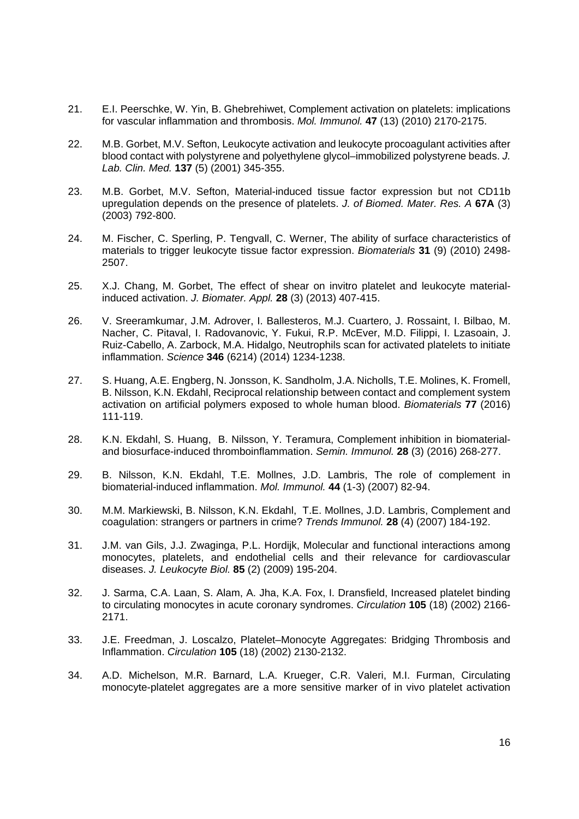- 21. E.I. Peerschke, W. Yin, B. Ghebrehiwet, Complement activation on platelets: implications for vascular inflammation and thrombosis. *Mol. Immunol.* **47** (13) (2010) 2170-2175.
- 22. M.B. Gorbet, M.V. Sefton, Leukocyte activation and leukocyte procoagulant activities after blood contact with polystyrene and polyethylene glycol–immobilized polystyrene beads. *J. Lab. Clin. Med.* **137** (5) (2001) 345-355.
- 23. M.B. Gorbet, M.V. Sefton, Material-induced tissue factor expression but not CD11b upregulation depends on the presence of platelets. *J. of Biomed. Mater. Res. A* **67A** (3) (2003) 792-800.
- 24. M. Fischer, C. Sperling, P. Tengvall, C. Werner, The ability of surface characteristics of materials to trigger leukocyte tissue factor expression. *Biomaterials* **31** (9) (2010) 2498- 2507.
- 25. X.J. Chang, M. Gorbet, The effect of shear on invitro platelet and leukocyte materialinduced activation. *J. Biomater. Appl.* **28** (3) (2013) 407-415.
- 26. V. Sreeramkumar, J.M. Adrover, I. Ballesteros, M.J. Cuartero, J. Rossaint, I. Bilbao, M. Nacher, C. Pitaval, I. Radovanovic, Y. Fukui, R.P. McEver, M.D. Filippi, I. Lzasoain, J. Ruiz-Cabello, A. Zarbock, M.A. Hidalgo, Neutrophils scan for activated platelets to initiate inflammation. *Science* **346** (6214) (2014) 1234-1238.
- 27. S. Huang, A.E. Engberg, N. Jonsson, K. Sandholm, J.A. Nicholls, T.E. Molines, K. Fromell, B. Nilsson, K.N. Ekdahl, Reciprocal relationship between contact and complement system activation on artificial polymers exposed to whole human blood. *Biomaterials* **77** (2016) 111-119.
- 28. K.N. Ekdahl, S. Huang, B. Nilsson, Y. Teramura, Complement inhibition in biomaterialand biosurface-induced thromboinflammation. *Semin. Immunol.* **28** (3) (2016) 268-277.
- 29. B. Nilsson, K.N. Ekdahl, T.E. Mollnes, J.D. Lambris, The role of complement in biomaterial-induced inflammation. *Mol. Immunol.* **44** (1-3) (2007) 82-94.
- 30. M.M. Markiewski, B. Nilsson, K.N. Ekdahl, T.E. Mollnes, J.D. Lambris, Complement and coagulation: strangers or partners in crime? *Trends Immunol.* **28** (4) (2007) 184-192.
- 31. J.M. van Gils, J.J. Zwaginga, P.L. Hordijk, Molecular and functional interactions among monocytes, platelets, and endothelial cells and their relevance for cardiovascular diseases. *J. Leukocyte Biol.* **85** (2) (2009) 195-204.
- 32. J. Sarma, C.A. Laan, S. Alam, A. Jha, K.A. Fox, I. Dransfield, Increased platelet binding to circulating monocytes in acute coronary syndromes. *Circulation* **105** (18) (2002) 2166- 2171.
- 33. J.E. Freedman, J. Loscalzo, Platelet–Monocyte Aggregates: Bridging Thrombosis and Inflammation. *Circulation* **105** (18) (2002) 2130-2132.
- 34. A.D. Michelson, M.R. Barnard, L.A. Krueger, C.R. Valeri, M.I. Furman, Circulating monocyte-platelet aggregates are a more sensitive marker of in vivo platelet activation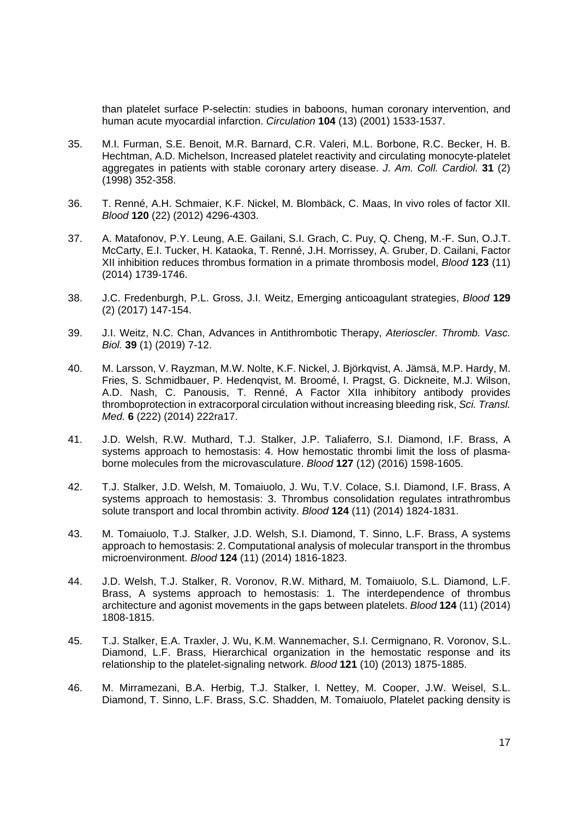than platelet surface P-selectin: studies in baboons, human coronary intervention, and human acute myocardial infarction. *Circulation* **104** (13) (2001) 1533-1537.

- 35. M.I. Furman, S.E. Benoit, M.R. Barnard, C.R. Valeri, M.L. Borbone, R.C. Becker, H. B. Hechtman, A.D. Michelson, Increased platelet reactivity and circulating monocyte-platelet aggregates in patients with stable coronary artery disease. *J. Am. Coll. Cardiol.* **31** (2) (1998) 352-358.
- 36. T. Renné, A.H. Schmaier, K.F. Nickel, M. Blombäck, C. Maas, In vivo roles of factor XII. *Blood* **120** (22) (2012) 4296-4303.
- 37. A. Matafonov, P.Y. Leung, A.E. Gailani, S.I. Grach, C. Puy, Q. Cheng, M.-F. Sun, O.J.T. McCarty, E.I. Tucker, H. Kataoka, T. Renné, J.H. Morrissey, A. Gruber, D. Cailani, Factor XII inhibition reduces thrombus formation in a primate thrombosis model, *Blood* **123** (11) (2014) 1739-1746.
- 38. J.C. Fredenburgh, P.L. Gross, J.I. Weitz, Emerging anticoagulant strategies, *Blood* **129** (2) (2017) 147-154.
- 39. J.I. Weitz, N.C. Chan, Advances in Antithrombotic Therapy, *Aterioscler. Thromb. Vasc. Biol.* **39** (1) (2019) 7-12.
- 40. M. Larsson, V. Rayzman, M.W. Nolte, K.F. Nickel, J. Björkqvist, A. Jämsä, M.P. Hardy, M. Fries, S. Schmidbauer, P. Hedenqvist, M. Broomé, I. Pragst, G. Dickneite, M.J. Wilson, A.D. Nash, C. Panousis, T. Renné, A Factor XIIa inhibitory antibody provides thromboprotection in extracorporal circulation without increasing bleeding risk, *Sci. Transl. Med.* **6** (222) (2014) 222ra17.
- 41. J.D. Welsh, R.W. Muthard, T.J. Stalker, J.P. Taliaferro, S.I. Diamond, I.F. Brass, A systems approach to hemostasis: 4. How hemostatic thrombi limit the loss of plasmaborne molecules from the microvasculature. *Blood* **127** (12) (2016) 1598-1605.
- 42. T.J. Stalker, J.D. Welsh, M. Tomaiuolo, J. Wu, T.V. Colace, S.I. Diamond, I.F. Brass, A systems approach to hemostasis: 3. Thrombus consolidation regulates intrathrombus solute transport and local thrombin activity. *Blood* **124** (11) (2014) 1824-1831.
- 43. M. Tomaiuolo, T.J. Stalker, J.D. Welsh, S.I. Diamond, T. Sinno, L.F. Brass, A systems approach to hemostasis: 2. Computational analysis of molecular transport in the thrombus microenvironment. *Blood* **124** (11) (2014) 1816-1823.
- 44. J.D. Welsh, T.J. Stalker, R. Voronov, R.W. Mithard, M. Tomaiuolo, S.L. Diamond, L.F. Brass, A systems approach to hemostasis: 1. The interdependence of thrombus architecture and agonist movements in the gaps between platelets. *Blood* **124** (11) (2014) 1808-1815.
- 45. T.J. Stalker, E.A. Traxler, J. Wu, K.M. Wannemacher, S.I. Cermignano, R. Voronov, S.L. Diamond, L.F. Brass, Hierarchical organization in the hemostatic response and its relationship to the platelet-signaling network. *Blood* **121** (10) (2013) 1875-1885.
- 46. M. Mirramezani, B.A. Herbig, T.J. Stalker, I. Nettey, M. Cooper, J.W. Weisel, S.L. Diamond, T. Sinno, L.F. Brass, S.C. Shadden, M. Tomaiuolo, Platelet packing density is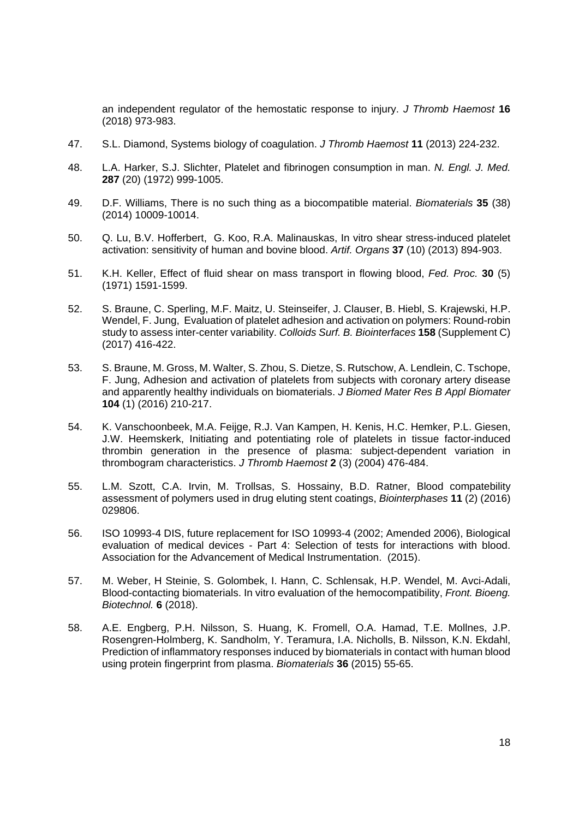an independent regulator of the hemostatic response to injury. *J Thromb Haemost* **16** (2018) 973-983.

- 47. S.L. Diamond, Systems biology of coagulation. *J Thromb Haemost* **11** (2013) 224-232.
- 48. L.A. Harker, S.J. Slichter, Platelet and fibrinogen consumption in man. *N. Engl. J. Med.* **287** (20) (1972) 999-1005.
- 49. D.F. Williams, There is no such thing as a biocompatible material. *Biomaterials* **35** (38) (2014) 10009-10014.
- 50. Q. Lu, B.V. Hofferbert, G. Koo, R.A. Malinauskas, In vitro shear stress-induced platelet activation: sensitivity of human and bovine blood. *Artif. Organs* **37** (10) (2013) 894-903.
- 51. K.H. Keller, Effect of fluid shear on mass transport in flowing blood, *Fed. Proc.* **30** (5) (1971) 1591-1599.
- 52. S. Braune, C. Sperling, M.F. Maitz, U. Steinseifer, J. Clauser, B. Hiebl, S. Krajewski, H.P. Wendel, F. Jung, Evaluation of platelet adhesion and activation on polymers: Round-robin study to assess inter-center variability. *Colloids Surf. B. Biointerfaces* **158** (Supplement C) (2017) 416-422.
- 53. S. Braune, M. Gross, M. Walter, S. Zhou, S. Dietze, S. Rutschow, A. Lendlein, C. Tschope, F. Jung, Adhesion and activation of platelets from subjects with coronary artery disease and apparently healthy individuals on biomaterials. *J Biomed Mater Res B Appl Biomater* **104** (1) (2016) 210-217.
- 54. K. Vanschoonbeek, M.A. Feijge, R.J. Van Kampen, H. Kenis, H.C. Hemker, P.L. Giesen, J.W. Heemskerk, Initiating and potentiating role of platelets in tissue factor-induced thrombin generation in the presence of plasma: subject-dependent variation in thrombogram characteristics. *J Thromb Haemost* **2** (3) (2004) 476-484.
- 55. L.M. Szott, C.A. Irvin, M. Trollsas, S. Hossainy, B.D. Ratner, Blood compatebility assessment of polymers used in drug eluting stent coatings, *Biointerphases* **11** (2) (2016) 029806.
- 56. ISO 10993-4 DIS, future replacement for ISO 10993-4 (2002; Amended 2006), Biological evaluation of medical devices - Part 4: Selection of tests for interactions with blood. Association for the Advancement of Medical Instrumentation. (2015).
- 57. M. Weber, H Steinie, S. Golombek, I. Hann, C. Schlensak, H.P. Wendel, M. Avci-Adali, Blood-contacting biomaterials. In vitro evaluation of the hemocompatibility, *Front. Bioeng. Biotechnol.* **6** (2018).
- 58. A.E. Engberg, P.H. Nilsson, S. Huang, K. Fromell, O.A. Hamad, T.E. Mollnes, J.P. Rosengren-Holmberg, K. Sandholm, Y. Teramura, I.A. Nicholls, B. Nilsson, K.N. Ekdahl, Prediction of inflammatory responses induced by biomaterials in contact with human blood using protein fingerprint from plasma. *Biomaterials* **36** (2015) 55-65.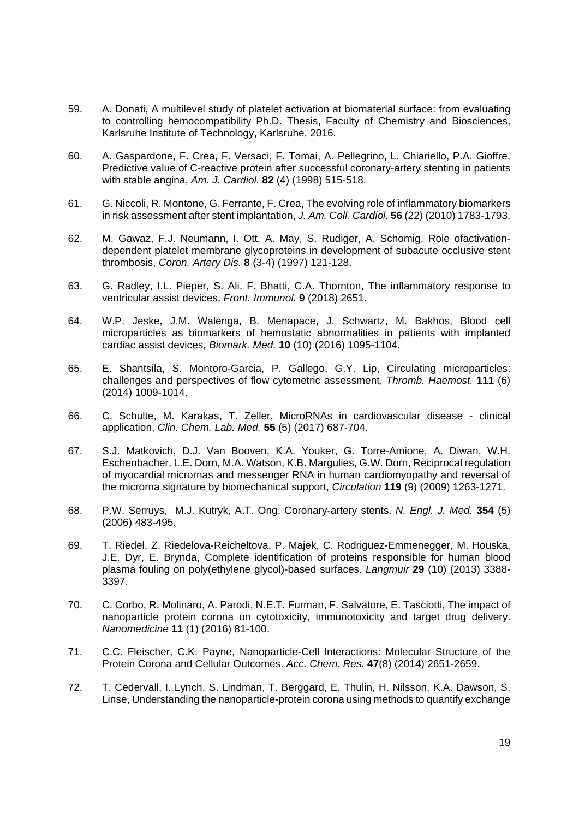- 59. A. Donati, A multilevel study of platelet activation at biomaterial surface: from evaluating to controlling hemocompatibility Ph.D. Thesis, Faculty of Chemistry and Biosciences, Karlsruhe Institute of Technology, Karlsruhe, 2016.
- 60. A. Gaspardone, F. Crea, F. Versaci, F. Tomai, A. Pellegrino, L. Chiariello, P.A. Gioffre, Predictive value of C-reactive protein after successful coronary-artery stenting in patients with stable angina, *Am. J. Cardiol.* **82** (4) (1998) 515-518.
- 61. G. Niccoli, R. Montone, G. Ferrante, F. Crea, The evolving role of inflammatory biomarkers in risk assessment after stent implantation, *J. Am. Coll. Cardiol.* **56** (22) (2010) 1783-1793.
- 62. M. Gawaz, F.J. Neumann, I. Ott, A. May, S. Rudiger, A. Schomig, Role ofactivationdependent platelet membrane glycoproteins in development of subacute occlusive stent thrombosis, *Coron. Artery Dis.* **8** (3-4) (1997) 121-128.
- 63. G. Radley, I.L. Pieper, S. Ali, F. Bhatti, C.A. Thornton, The inflammatory response to ventricular assist devices, *Front. Immunol.* **9** (2018) 2651.
- 64. W.P. Jeske, J.M. Walenga, B. Menapace, J. Schwartz, M. Bakhos, Blood cell microparticles as biomarkers of hemostatic abnormalities in patients with implanted cardiac assist devices, *Biomark. Med.* **10** (10) (2016) 1095-1104.
- 65. E. Shantsila, S. Montoro-Garcia, P. Gallego, G.Y. Lip, Circulating microparticles: challenges and perspectives of flow cytometric assessment, *Thromb. Haemost.* **111** (6) (2014) 1009-1014.
- 66. C. Schulte, M. Karakas, T. Zeller, MicroRNAs in cardiovascular disease clinical application, *Clin. Chem. Lab. Med.* **55** (5) (2017) 687-704.
- 67. S.J. Matkovich, D.J. Van Booven, K.A. Youker, G. Torre-Amione, A. Diwan, W.H. Eschenbacher, L.E. Dorn, M.A. Watson, K.B. Margulies, G.W. Dorn, Reciprocal regulation of myocardial micrornas and messenger RNA in human cardiomyopathy and reversal of the microrna signature by biomechanical support, *Circulation* **119** (9) (2009) 1263-1271.
- 68. P.W. Serruys, M.J. Kutryk, A.T. Ong, Coronary-artery stents. *N. Engl. J. Med.* **354** (5) (2006) 483-495.
- 69. T. Riedel, Z. Riedelova-Reicheltova, P. Majek, C. Rodriguez-Emmenegger, M. Houska, J.E. Dyr, E. Brynda, Complete identification of proteins responsible for human blood plasma fouling on poly(ethylene glycol)-based surfaces. *Langmuir* **29** (10) (2013) 3388- 3397.
- 70. C. Corbo, R. Molinaro, A. Parodi, N.E.T. Furman, F. Salvatore, E. Tasciotti, The impact of nanoparticle protein corona on cytotoxicity, immunotoxicity and target drug delivery. *Nanomedicine* **11** (1) (2016) 81-100.
- 71. C.C. Fleischer, C.K. Payne, Nanoparticle-Cell Interactions: Molecular Structure of the Protein Corona and Cellular Outcomes. *Acc. Chem. Res.* **47**(8) (2014) 2651-2659.
- 72. T. Cedervall, I. Lynch, S. Lindman, T. Berggard, E. Thulin, H. Nilsson, K.A. Dawson, S. Linse, Understanding the nanoparticle-protein corona using methods to quantify exchange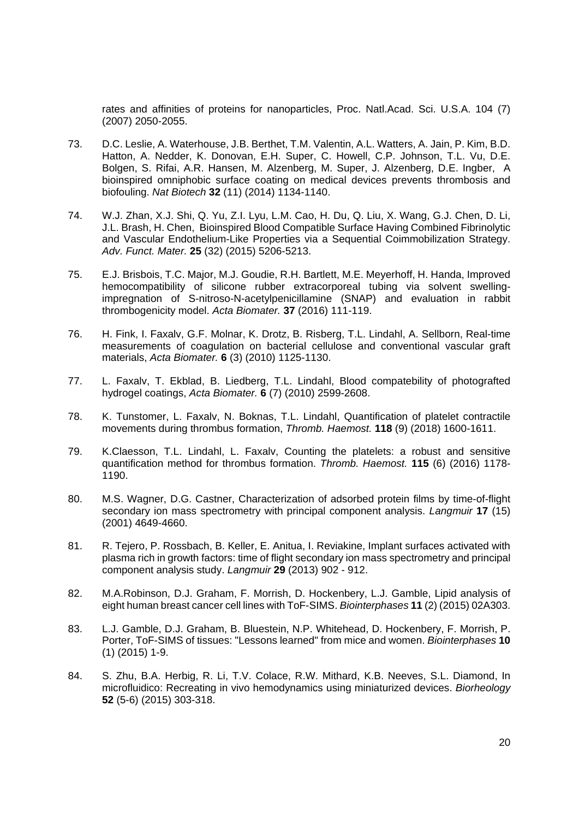rates and affinities of proteins for nanoparticles, Proc. Natl.Acad. Sci. U.S.A. 104 (7) (2007) 2050-2055.

- 73. D.C. Leslie, A. Waterhouse, J.B. Berthet, T.M. Valentin, A.L. Watters, A. Jain, P. Kim, B.D. Hatton, A. Nedder, K. Donovan, E.H. Super, C. Howell, C.P. Johnson, T.L. Vu, D.E. Bolgen, S. Rifai, A.R. Hansen, M. Alzenberg, M. Super, J. Alzenberg, D.E. Ingber, A bioinspired omniphobic surface coating on medical devices prevents thrombosis and biofouling. *Nat Biotech* **32** (11) (2014) 1134-1140.
- 74. W.J. Zhan, X.J. Shi, Q. Yu, Z.I. Lyu, L.M. Cao, H. Du, Q. Liu, X. Wang, G.J. Chen, D. Li, J.L. Brash, H. Chen, Bioinspired Blood Compatible Surface Having Combined Fibrinolytic and Vascular Endothelium-Like Properties via a Sequential Coimmobilization Strategy. *Adv. Funct. Mater.* **25** (32) (2015) 5206-5213.
- 75. E.J. Brisbois, T.C. Major, M.J. Goudie, R.H. Bartlett, M.E. Meyerhoff, H. Handa, Improved hemocompatibility of silicone rubber extracorporeal tubing via solvent swellingimpregnation of S-nitroso-N-acetylpenicillamine (SNAP) and evaluation in rabbit thrombogenicity model. *Acta Biomater.* **37** (2016) 111-119.
- 76. H. Fink, I. Faxalv, G.F. Molnar, K. Drotz, B. Risberg, T.L. Lindahl, A. Sellborn, Real-time measurements of coagulation on bacterial cellulose and conventional vascular graft materials, *Acta Biomater.* **6** (3) (2010) 1125-1130.
- 77. L. Faxalv, T. Ekblad, B. Liedberg, T.L. Lindahl, Blood compatebility of photografted hydrogel coatings, *Acta Biomater.* **6** (7) (2010) 2599-2608.
- 78. K. Tunstomer, L. Faxalv, N. Boknas, T.L. Lindahl, Quantification of platelet contractile movements during thrombus formation, *Thromb. Haemost.* **118** (9) (2018) 1600-1611.
- 79. K.Claesson, T.L. Lindahl, L. Faxalv, Counting the platelets: a robust and sensitive quantification method for thrombus formation. *Thromb. Haemost.* **115** (6) (2016) 1178- 1190.
- 80. M.S. Wagner, D.G. Castner, Characterization of adsorbed protein films by time-of-flight secondary ion mass spectrometry with principal component analysis. *Langmuir* **17** (15) (2001) 4649-4660.
- 81. R. Tejero, P. Rossbach, B. Keller, E. Anitua, I. Reviakine, Implant surfaces activated with plasma rich in growth factors: time of flight secondary ion mass spectrometry and principal component analysis study. *Langmuir* **29** (2013) 902 - 912.
- 82. M.A.Robinson, D.J. Graham, F. Morrish, D. Hockenbery, L.J. Gamble, Lipid analysis of eight human breast cancer cell lines with ToF-SIMS. *Biointerphases* **11** (2) (2015) 02A303.
- 83. L.J. Gamble, D.J. Graham, B. Bluestein, N.P. Whitehead, D. Hockenbery, F. Morrish, P. Porter, ToF-SIMS of tissues: "Lessons learned" from mice and women. *Biointerphases* **10** (1) (2015) 1-9.
- 84. S. Zhu, B.A. Herbig, R. Li, T.V. Colace, R.W. Mithard, K.B. Neeves, S.L. Diamond, In microfluidico: Recreating in vivo hemodynamics using miniaturized devices. *Biorheology* **52** (5-6) (2015) 303-318.